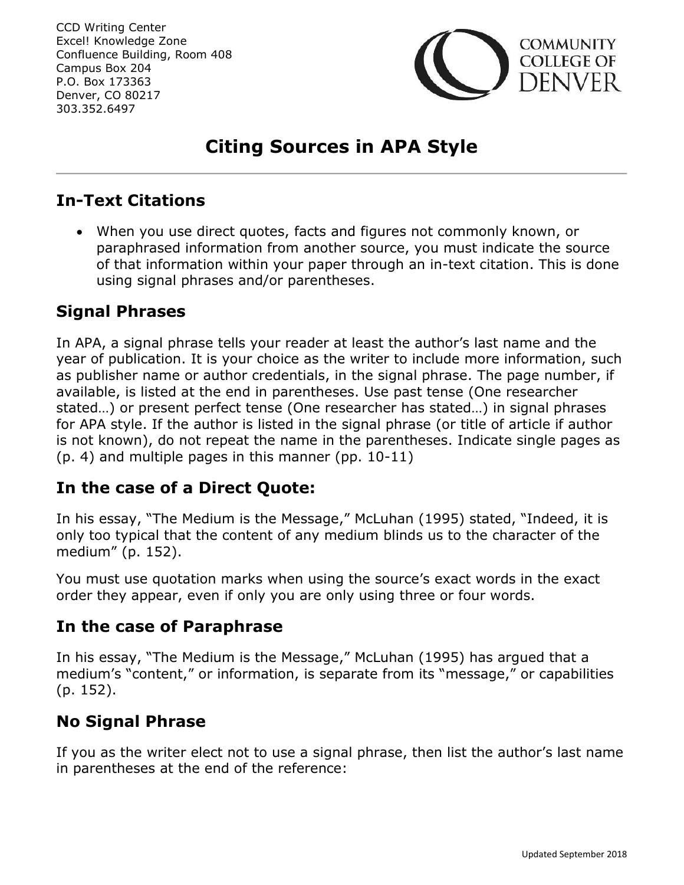

# **Citing Sources in APA Style**

## **In-Text Citations**

 When you use direct quotes, facts and figures not commonly known, or paraphrased information from another source, you must indicate the source of that information within your paper through an in-text citation. This is done using signal phrases and/or parentheses.

## **Signal Phrases**

In APA, a signal phrase tells your reader at least the author's last name and the year of publication. It is your choice as the writer to include more information, such as publisher name or author credentials, in the signal phrase. The page number, if available, is listed at the end in parentheses. Use past tense (One researcher stated…) or present perfect tense (One researcher has stated…) in signal phrases for APA style. If the author is listed in the signal phrase (or title of article if author is not known), do not repeat the name in the parentheses. Indicate single pages as (p. 4) and multiple pages in this manner (pp. 10-11)

## **In the case of a Direct Quote:**

In his essay, "The Medium is the Message," McLuhan (1995) stated, "Indeed, it is only too typical that the content of any medium blinds us to the character of the medium" (p. 152).

You must use quotation marks when using the source's exact words in the exact order they appear, even if only you are only using three or four words.

## **In the case of Paraphrase**

In his essay, "The Medium is the Message," McLuhan (1995) has argued that a medium's "content," or information, is separate from its "message," or capabilities (p. 152).

## **No Signal Phrase**

If you as the writer elect not to use a signal phrase, then list the author's last name in parentheses at the end of the reference: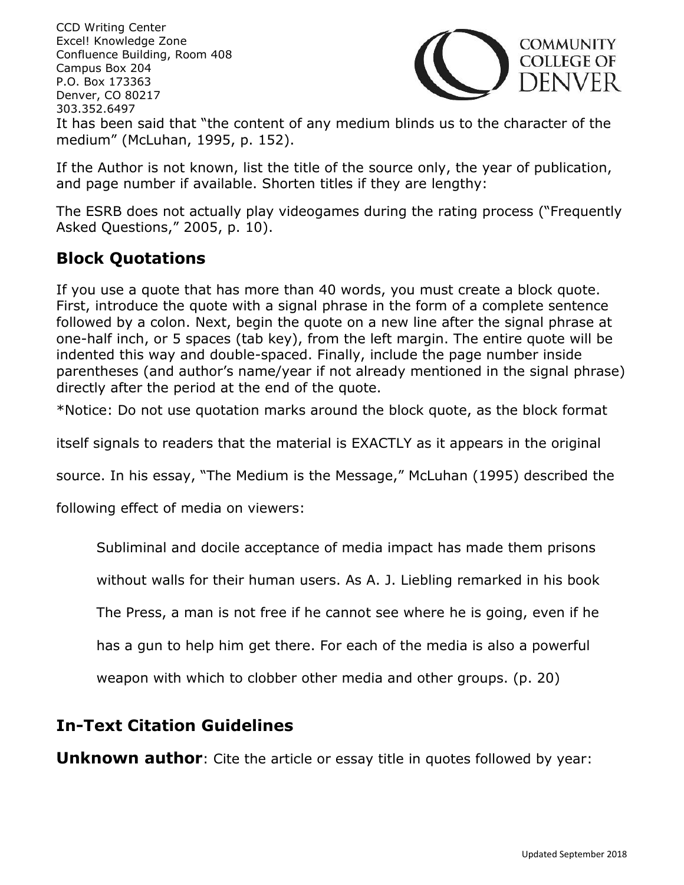CCD Writing Center Excel! Knowledge Zone **COMMUNITY** Confluence Building, Room 408 **COLLEGE OF** Campus Box 204 )ENVER P.O. Box 173363 Denver, CO 80217 303.352.6497 It has been said that "the content of any medium blinds us to the character of the medium" (McLuhan, 1995, p. 152).

If the Author is not known, list the title of the source only, the year of publication, and page number if available. Shorten titles if they are lengthy:

The ESRB does not actually play videogames during the rating process ("Frequently Asked Questions," 2005, p. 10).

## **Block Quotations**

If you use a quote that has more than 40 words, you must create a block quote. First, introduce the quote with a signal phrase in the form of a complete sentence followed by a colon. Next, begin the quote on a new line after the signal phrase at one-half inch, or 5 spaces (tab key), from the left margin. The entire quote will be indented this way and double-spaced. Finally, include the page number inside parentheses (and author's name/year if not already mentioned in the signal phrase) directly after the period at the end of the quote.

\*Notice: Do not use quotation marks around the block quote, as the block format

itself signals to readers that the material is EXACTLY as it appears in the original

source. In his essay, "The Medium is the Message," McLuhan (1995) described the

following effect of media on viewers:

Subliminal and docile acceptance of media impact has made them prisons

without walls for their human users. As A. J. Liebling remarked in his book

The Press, a man is not free if he cannot see where he is going, even if he

has a gun to help him get there. For each of the media is also a powerful

weapon with which to clobber other media and other groups. (p. 20)

## **In-Text Citation Guidelines**

**Unknown author**: Cite the article or essay title in quotes followed by year: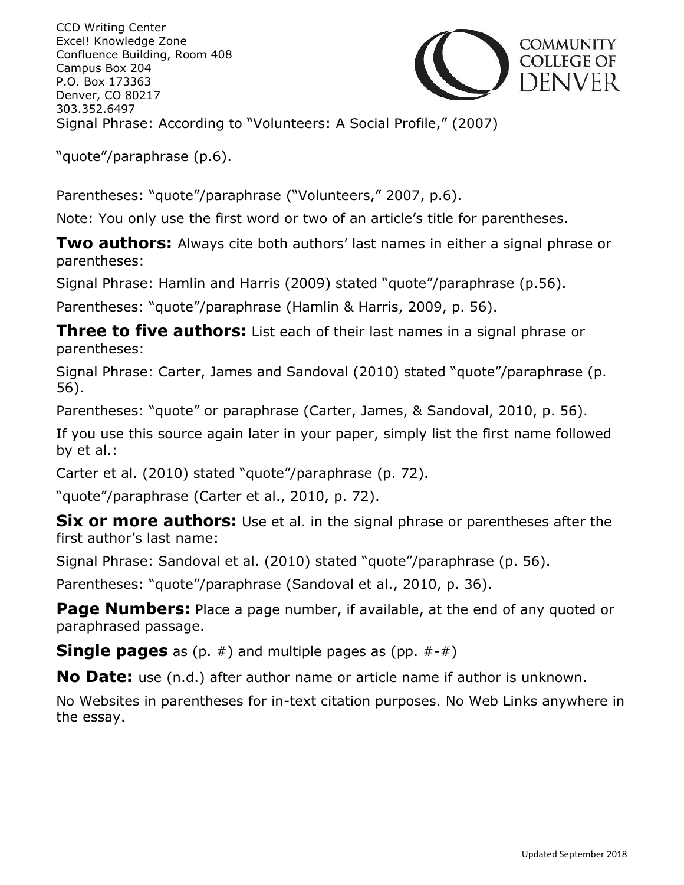CCD Writing Center Excel! Knowledge Zone Confluence Building, Room 408 Campus Box 204 P.O. Box 173363 Denver, CO 80217 303.352.6497 Signal Phrase: According to "Volunteers: A Social Profile," (2007)



"quote"/paraphrase (p.6).

Parentheses: "quote"/paraphrase ("Volunteers," 2007, p.6).

Note: You only use the first word or two of an article's title for parentheses.

**Two authors:** Always cite both authors' last names in either a signal phrase or parentheses:

Signal Phrase: Hamlin and Harris (2009) stated "quote"/paraphrase (p.56).

Parentheses: "quote"/paraphrase (Hamlin & Harris, 2009, p. 56).

**Three to five authors:** List each of their last names in a signal phrase or parentheses:

Signal Phrase: Carter, James and Sandoval (2010) stated "quote"/paraphrase (p. 56).

Parentheses: "quote" or paraphrase (Carter, James, & Sandoval, 2010, p. 56).

If you use this source again later in your paper, simply list the first name followed by et al.:

Carter et al. (2010) stated "quote"/paraphrase (p. 72).

"quote"/paraphrase (Carter et al., 2010, p. 72).

**Six or more authors:** Use et al. in the signal phrase or parentheses after the first author's last name:

Signal Phrase: Sandoval et al. (2010) stated "quote"/paraphrase (p. 56).

Parentheses: "quote"/paraphrase (Sandoval et al., 2010, p. 36).

**Page Numbers:** Place a page number, if available, at the end of any quoted or paraphrased passage.

**Single pages** as (p. #) and multiple pages as (pp. #-#)

**No Date:** use (n.d.) after author name or article name if author is unknown.

No Websites in parentheses for in-text citation purposes. No Web Links anywhere in the essay.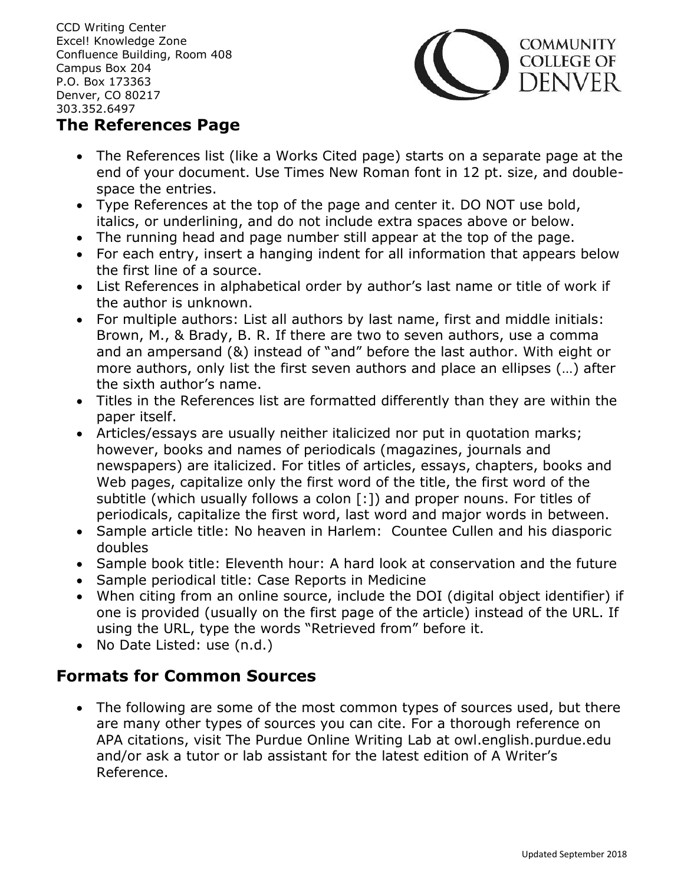

### **The References Page**

- The References list (like a Works Cited page) starts on a separate page at the end of your document. Use Times New Roman font in 12 pt. size, and doublespace the entries.
- Type References at the top of the page and center it. DO NOT use bold, italics, or underlining, and do not include extra spaces above or below.
- The running head and page number still appear at the top of the page.
- For each entry, insert a hanging indent for all information that appears below the first line of a source.
- List References in alphabetical order by author's last name or title of work if the author is unknown.
- For multiple authors: List all authors by last name, first and middle initials: Brown, M., & Brady, B. R. If there are two to seven authors, use a comma and an ampersand (&) instead of "and" before the last author. With eight or more authors, only list the first seven authors and place an ellipses (…) after the sixth author's name.
- Titles in the References list are formatted differently than they are within the paper itself.
- Articles/essays are usually neither italicized nor put in quotation marks; however, books and names of periodicals (magazines, journals and newspapers) are italicized. For titles of articles, essays, chapters, books and Web pages, capitalize only the first word of the title, the first word of the subtitle (which usually follows a colon [:]) and proper nouns. For titles of periodicals, capitalize the first word, last word and major words in between.
- Sample article title: No heaven in Harlem: Countee Cullen and his diasporic doubles
- Sample book title: Eleventh hour: A hard look at conservation and the future
- Sample periodical title: Case Reports in Medicine
- When citing from an online source, include the DOI (digital object identifier) if one is provided (usually on the first page of the article) instead of the URL. If using the URL, type the words "Retrieved from" before it.
- No Date Listed: use (n.d.)

## **Formats for Common Sources**

• The following are some of the most common types of sources used, but there are many other types of sources you can cite. For a thorough reference on APA citations, visit The Purdue Online Writing Lab at owl.english.purdue.edu and/or ask a tutor or lab assistant for the latest edition of A Writer's Reference.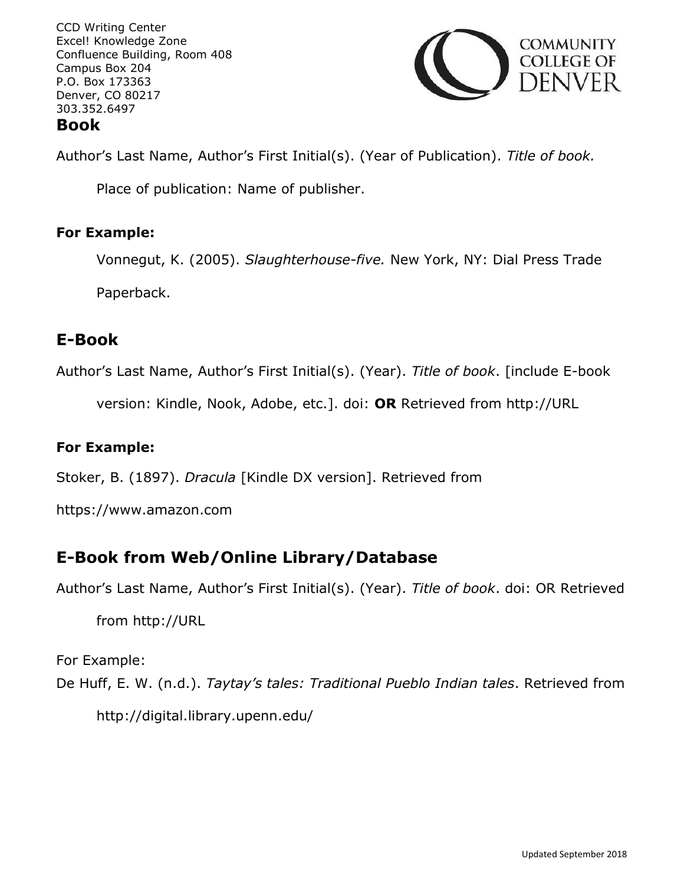

Author's Last Name, Author's First Initial(s). (Year of Publication). *Title of book.*

Place of publication: Name of publisher.

#### **For Example:**

Vonnegut, K. (2005). *Slaughterhouse-five.* New York, NY: Dial Press Trade Paperback.

## **E-Book**

Author's Last Name, Author's First Initial(s). (Year). *Title of book*. [include E-book

version: Kindle, Nook, Adobe, etc.]. doi: **OR** Retrieved from http://URL

### **For Example:**

Stoker, B. (1897). *Dracula* [Kindle DX version]. Retrieved from

https://www.amazon.com

## **E-Book from Web/Online Library/Database**

Author's Last Name, Author's First Initial(s). (Year). *Title of book*. doi: OR Retrieved

from http://URL

For Example:

De Huff, E. W. (n.d.). *Taytay's tales: Traditional Pueblo Indian tales*. Retrieved from

http://digital.library.upenn.edu/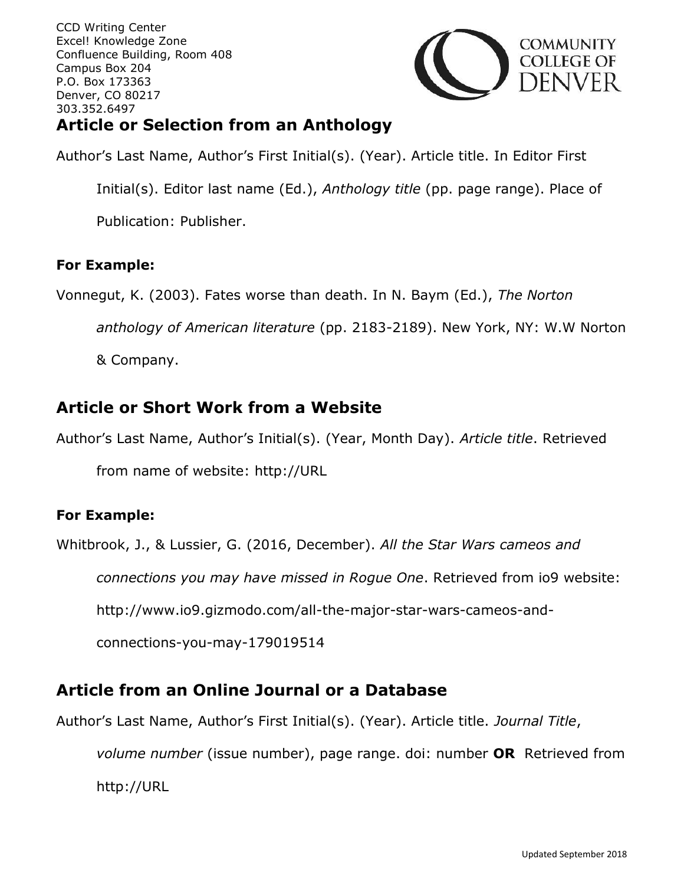

## **Article or Selection from an Anthology**

Author's Last Name, Author's First Initial(s). (Year). Article title. In Editor First

Initial(s). Editor last name (Ed.), *Anthology title* (pp. page range). Place of

Publication: Publisher.

#### **For Example:**

Vonnegut, K. (2003). Fates worse than death. In N. Baym (Ed.), *The Norton* 

*anthology of American literature* (pp. 2183-2189). New York, NY: W.W Norton

& Company.

## **Article or Short Work from a Website**

Author's Last Name, Author's Initial(s). (Year, Month Day). *Article title*. Retrieved

from name of website: http://URL

#### **For Example:**

Whitbrook, J., & Lussier, G. (2016, December). *All the Star Wars cameos and* 

*connections you may have missed in Rogue One*. Retrieved from io9 website:

http://www.io9.gizmodo.com/all-the-major-star-wars-cameos-and-

connections-you-may-179019514

## **Article from an Online Journal or a Database**

Author's Last Name, Author's First Initial(s). (Year). Article title. *Journal Title*,

*volume number* (issue number), page range. doi: number **OR** Retrieved from http://URL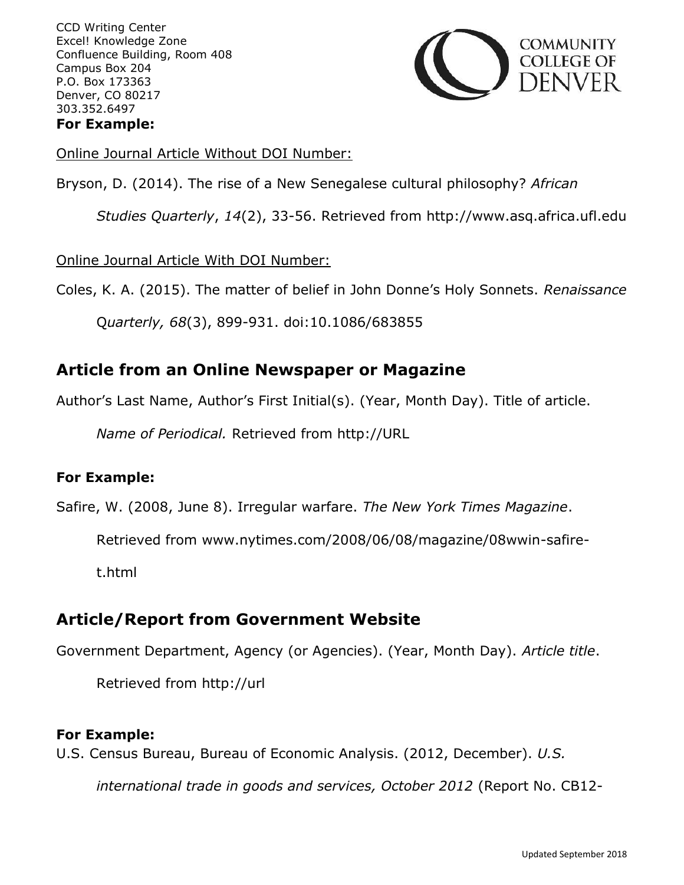

Online Journal Article Without DOI Number:

Bryson, D. (2014). The rise of a New Senegalese cultural philosophy? *African* 

*Studies Quarterly*, *14*(2), 33-56. Retrieved from http://www.asq.africa.ufl.edu

Online Journal Article With DOI Number:

Coles, K. A. (2015). The matter of belief in John Donne's Holy Sonnets. *Renaissance*

Q*uarterly, 68*(3), 899-931. doi:10.1086/683855

### **Article from an Online Newspaper or Magazine**

Author's Last Name, Author's First Initial(s). (Year, Month Day). Title of article.

*Name of Periodical.* Retrieved from http://URL

#### **For Example:**

Safire, W. (2008, June 8). Irregular warfare. *The New York Times Magazine*.

Retrieved from www.nytimes.com/2008/06/08/magazine/08wwin-safire-

t.html

## **Article/Report from Government Website**

Government Department, Agency (or Agencies). (Year, Month Day). *Article title*.

Retrieved from http://url

#### **For Example:**

U.S. Census Bureau, Bureau of Economic Analysis. (2012, December). *U.S.* 

*international trade in goods and services, October 2012* (Report No. CB12-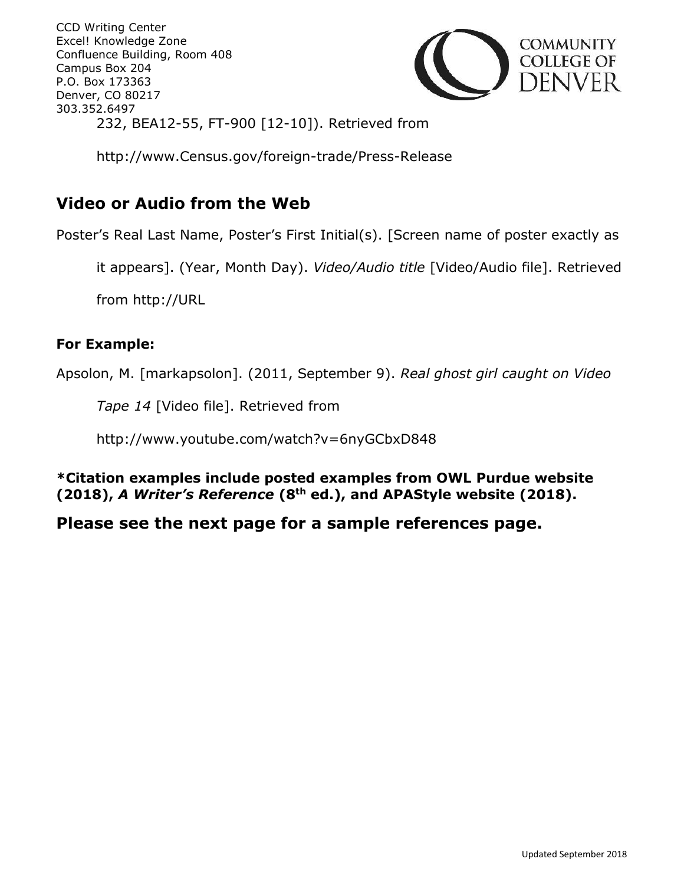CCD Writing Center Excel! Knowledge Zone Confluence Building, Room 408 Campus Box 204 P.O. Box 173363 Denver, CO 80217 303.352.6497 232, BEA12-55, FT-900 [12-10]). Retrieved from



http://www.Census.gov/foreign-trade/Press-Release

## **Video or Audio from the Web**

Poster's Real Last Name, Poster's First Initial(s). [Screen name of poster exactly as

it appears]. (Year, Month Day). *Video/Audio title* [Video/Audio file]. Retrieved

from http://URL

#### **For Example:**

Apsolon, M. [markapsolon]. (2011, September 9). *Real ghost girl caught on Video* 

*Tape 14* [Video file]. Retrieved from

http://www.youtube.com/watch?v=6nyGCbxD848

**\*Citation examples include posted examples from OWL Purdue website (2018),** *A Writer's Reference* **(8th ed.), and APAStyle website (2018).** 

#### **Please see the next page for a sample references page.**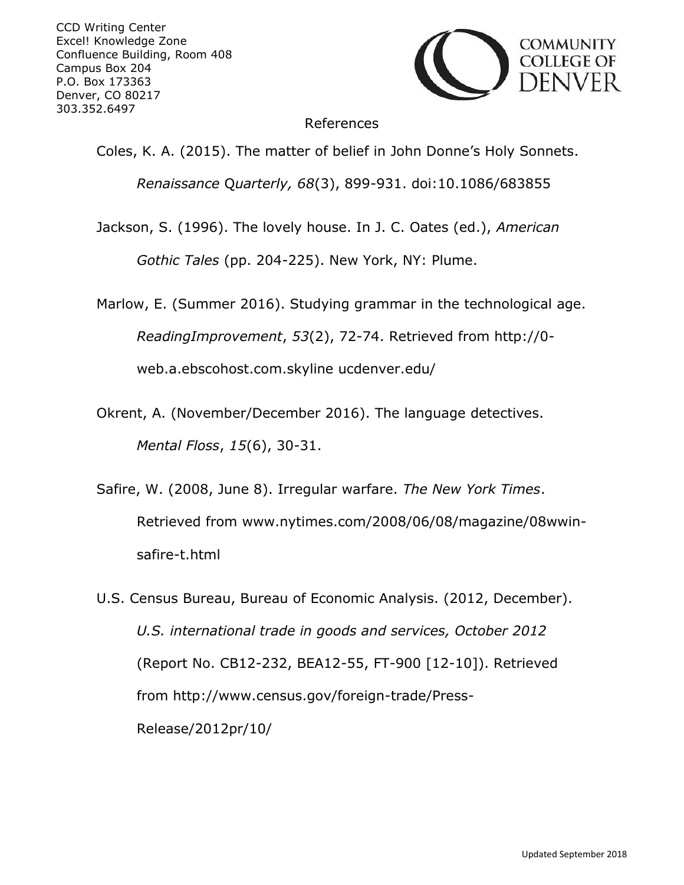

#### References

Coles, K. A. (2015). The matter of belief in John Donne's Holy Sonnets.

*Renaissance* Q*uarterly, 68*(3), 899-931. doi:10.1086/683855

Jackson, S. (1996). The lovely house. In J. C. Oates (ed.), *American* 

*Gothic Tales* (pp. 204-225). New York, NY: Plume.

Marlow, E. (Summer 2016). Studying grammar in the technological age. *ReadingImprovement*, *53*(2), 72-74. Retrieved from http://0 web.a.ebscohost.com.skyline ucdenver.edu/

- Okrent, A. (November/December 2016). The language detectives. *Mental Floss*, *15*(6), 30-31.
- Safire, W. (2008, June 8). Irregular warfare. *The New York Times*. Retrieved from www.nytimes.com/2008/06/08/magazine/08wwinsafire-t.html
- U.S. Census Bureau, Bureau of Economic Analysis. (2012, December). *U.S. international trade in goods and services, October 2012* (Report No. CB12-232, BEA12-55, FT-900 [12-10]). Retrieved from http://www.census.gov/foreign-trade/Press-Release/2012pr/10/